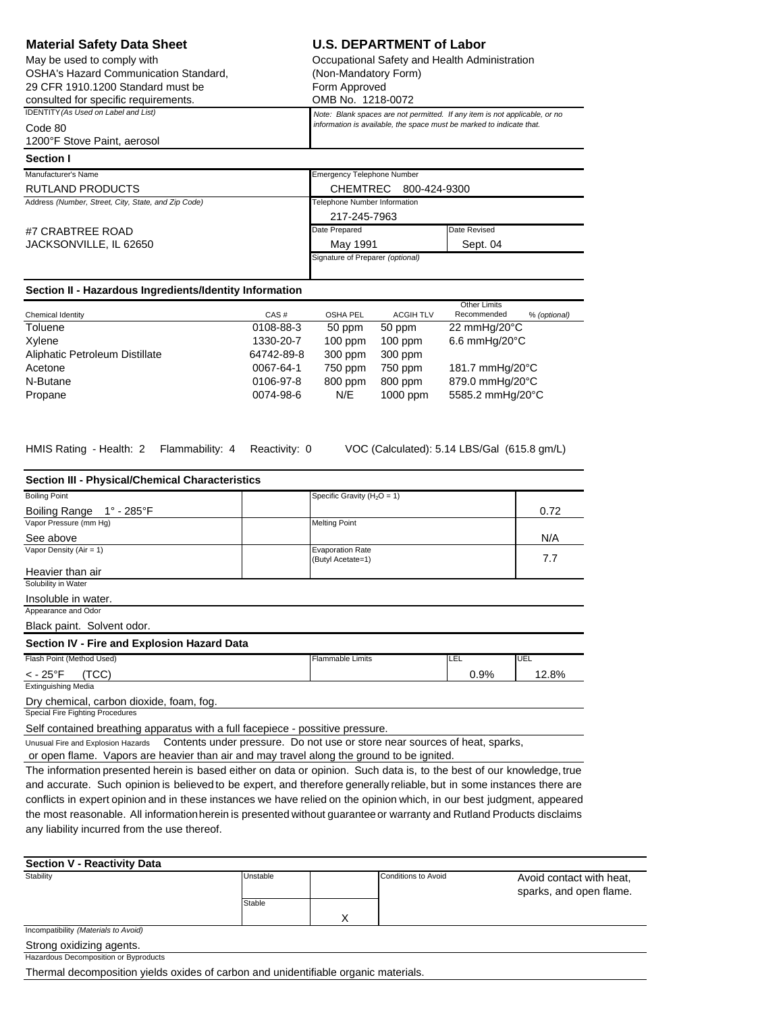| <b>Material Safety Data Sheet</b>                       |                                   | <b>U.S. DEPARTMENT of Labor</b>                                            |  |  |  |  |
|---------------------------------------------------------|-----------------------------------|----------------------------------------------------------------------------|--|--|--|--|
| May be used to comply with                              |                                   | Occupational Safety and Health Administration                              |  |  |  |  |
| <b>OSHA's Hazard Communication Standard.</b>            |                                   | (Non-Mandatory Form)                                                       |  |  |  |  |
| 29 CFR 1910.1200 Standard must be                       | Form Approved                     |                                                                            |  |  |  |  |
| consulted for specific requirements.                    | OMB No. 1218-0072                 |                                                                            |  |  |  |  |
| IDENTITY (As Used on Label and List)                    |                                   | Note: Blank spaces are not permitted. If any item is not applicable, or no |  |  |  |  |
| Code 80                                                 |                                   | information is available, the space must be marked to indicate that.       |  |  |  |  |
| 1200°F Stove Paint, aerosol                             |                                   |                                                                            |  |  |  |  |
| Section I                                               |                                   |                                                                            |  |  |  |  |
| Manufacturer's Name                                     | <b>Emergency Telephone Number</b> |                                                                            |  |  |  |  |
| RUTLAND PRODUCTS                                        | <b>CHEMTREC</b>                   | 800-424-9300                                                               |  |  |  |  |
| Address (Number, Street, City, State, and Zip Code)     |                                   | Telephone Number Information                                               |  |  |  |  |
|                                                         | 217-245-7963                      |                                                                            |  |  |  |  |
| #7 CRABTREE ROAD                                        | Date Prepared                     | Date Revised                                                               |  |  |  |  |
| JACKSONVILLE, IL 62650                                  | May 1991                          | Sept. 04                                                                   |  |  |  |  |
|                                                         | Signature of Preparer (optional)  |                                                                            |  |  |  |  |
|                                                         |                                   |                                                                            |  |  |  |  |
| Section II - Hazardous Ingredients/Identity Information |                                   |                                                                            |  |  |  |  |

|                                |            |                 | Other Limits     |                             |  |
|--------------------------------|------------|-----------------|------------------|-----------------------------|--|
| Chemical Identity              | CAS#       | <b>OSHA PEL</b> | <b>ACGIH TLV</b> | Recommended<br>% (optional) |  |
| Toluene                        | 0108-88-3  | 50 ppm          | 50 ppm           | 22 mmHg/20 $\degree$ C      |  |
| Xylene                         | 1330-20-7  | $100$ ppm       | $100$ ppm        | $6.6$ mmHg/20 $\degree$ C   |  |
| Aliphatic Petroleum Distillate | 64742-89-8 | 300 ppm         | 300 ppm          |                             |  |
| Acetone                        | 0067-64-1  | 750 ppm         | 750 ppm          | 181.7 mmHg/20°C             |  |
| N-Butane                       | 0106-97-8  | 800 ppm         | 800 ppm          | 879.0 mmHg/20°C             |  |
| Propane                        | 0074-98-6  | N/E             | $1000$ ppm       | 5585.2 mmHg/20°C            |  |

HMIS Rating - Health: 2 Flammability: 4 Reactivity: 0 VOC (Calculated): 5.14 LBS/Gal (615.8 gm/L)

| Section III - Physical/Chemical Characteristics                                |                                                                            |      |       |
|--------------------------------------------------------------------------------|----------------------------------------------------------------------------|------|-------|
| <b>Boiling Point</b>                                                           | Specific Gravity $(H2O = 1)$                                               |      |       |
| 1° - 285°F<br><b>Boiling Range</b>                                             |                                                                            |      | 0.72  |
| Vapor Pressure (mm Hg)                                                         | <b>Melting Point</b>                                                       |      |       |
| See above                                                                      |                                                                            |      | N/A   |
| Vapor Density ( $Air = 1$ )                                                    | <b>Evaporation Rate</b><br>(Butyl Acetate=1)                               |      | 7.7   |
| Heavier than air                                                               |                                                                            |      |       |
| Solubility in Water                                                            |                                                                            |      |       |
| Insoluble in water.                                                            |                                                                            |      |       |
| Appearance and Odor                                                            |                                                                            |      |       |
| Black paint. Solvent odor.                                                     |                                                                            |      |       |
| Section IV - Fire and Explosion Hazard Data                                    |                                                                            |      |       |
| Flash Point (Method Used)                                                      | <b>Flammable Limits</b>                                                    | LEL  | UEL   |
| $<$ - 25°F<br>(TCC)                                                            |                                                                            | 0.9% | 12.8% |
| <b>Extinguishing Media</b>                                                     |                                                                            |      |       |
| Dry chemical, carbon dioxide, foam, fog.                                       |                                                                            |      |       |
| Special Fire Fighting Procedures                                               |                                                                            |      |       |
| Self contained breathing apparatus with a full facepiece - possitive pressure. |                                                                            |      |       |
| Unusual Fire and Explosion Hazards                                             | Contents under pressure. Do not use or store near sources of heat, sparks, |      |       |

or open flame. Vapors are heavier than air and may travel along the ground to be ignited.

The information presented herein is based either on data or opinion. Such data is, to the best of our knowledge, true and accurate. Such opinion is believed to be expert, and therefore generally reliable, but in some instances there are conflicts in expert opinion and in these instances we have relied on the opinion which, in our best judgment, appeared the most reasonable. All informationherein is presented without guaranteeor warranty and Rutland Products disclaims any liability incurred from the use thereof.

| <b>Section V - Reactivity Data</b>    |          |   |                     |                                                     |  |  |
|---------------------------------------|----------|---|---------------------|-----------------------------------------------------|--|--|
| Stability                             | Unstable |   | Conditions to Avoid | Avoid contact with heat,<br>sparks, and open flame. |  |  |
|                                       | Stable   |   |                     |                                                     |  |  |
|                                       |          | Χ |                     |                                                     |  |  |
| Incompatibility (Materials to Avoid)  |          |   |                     |                                                     |  |  |
| Strong oxidizing agents.              |          |   |                     |                                                     |  |  |
| Hazardous Decomposition or Byproducts |          |   |                     |                                                     |  |  |
|                                       |          |   |                     |                                                     |  |  |

Thermal decomposition yields oxides of carbon and unidentifiable organic materials.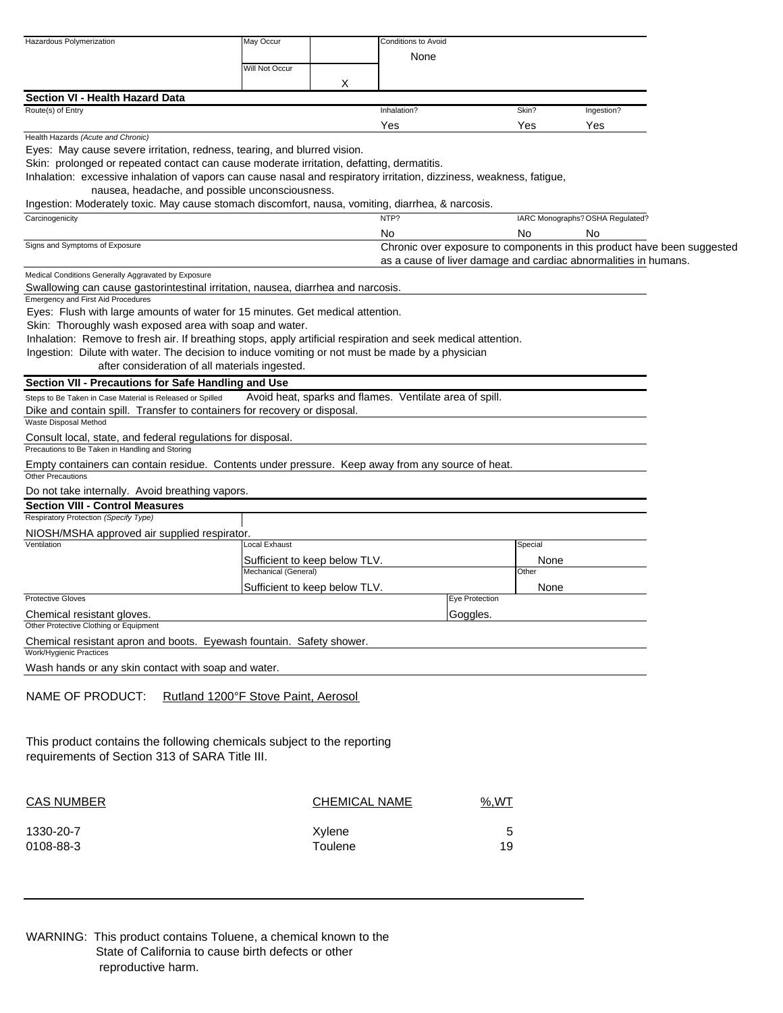| Hazardous Polymerization                                                                                                                                       | May Occur            |                               | <b>Conditions to Avoid</b>                                              |                    |                                  |  |
|----------------------------------------------------------------------------------------------------------------------------------------------------------------|----------------------|-------------------------------|-------------------------------------------------------------------------|--------------------|----------------------------------|--|
|                                                                                                                                                                | Will Not Occur       |                               | None                                                                    |                    |                                  |  |
|                                                                                                                                                                |                      | Χ                             |                                                                         |                    |                                  |  |
| Section VI - Health Hazard Data                                                                                                                                |                      |                               |                                                                         |                    |                                  |  |
| Route(s) of Entry                                                                                                                                              |                      |                               | Inhalation?                                                             | Skin?              | Ingestion?                       |  |
| Health Hazards (Acute and Chronic)                                                                                                                             |                      |                               | Yes                                                                     | Yes                | Yes                              |  |
| Eyes: May cause severe irritation, redness, tearing, and blurred vision.                                                                                       |                      |                               |                                                                         |                    |                                  |  |
| Skin: prolonged or repeated contact can cause moderate irritation, defatting, dermatitis.                                                                      |                      |                               |                                                                         |                    |                                  |  |
| Inhalation: excessive inhalation of vapors can cause nasal and respiratory irritation, dizziness, weakness, fatigue,                                           |                      |                               |                                                                         |                    |                                  |  |
| nausea, headache, and possible unconsciousness.                                                                                                                |                      |                               |                                                                         |                    |                                  |  |
| Ingestion: Moderately toxic. May cause stomach discomfort, nausa, vomiting, diarrhea, & narcosis.<br>Carcinogenicity                                           |                      |                               | NTP?                                                                    |                    | IARC Monographs? OSHA Regulated? |  |
|                                                                                                                                                                |                      |                               | No                                                                      | No                 | No                               |  |
| Signs and Symptoms of Exposure                                                                                                                                 |                      |                               | Chronic over exposure to components in this product have been suggested |                    |                                  |  |
|                                                                                                                                                                |                      |                               | as a cause of liver damage and cardiac abnormalities in humans.         |                    |                                  |  |
| Medical Conditions Generally Aggravated by Exposure                                                                                                            |                      |                               |                                                                         |                    |                                  |  |
| Swallowing can cause gastorintestinal irritation, nausea, diarrhea and narcosis.<br><b>Emergency and First Aid Procedures</b>                                  |                      |                               |                                                                         |                    |                                  |  |
| Eyes: Flush with large amounts of water for 15 minutes. Get medical attention.                                                                                 |                      |                               |                                                                         |                    |                                  |  |
| Skin: Thoroughly wash exposed area with soap and water.                                                                                                        |                      |                               |                                                                         |                    |                                  |  |
| Inhalation: Remove to fresh air. If breathing stops, apply artificial respiration and seek medical attention.                                                  |                      |                               |                                                                         |                    |                                  |  |
| Ingestion: Dilute with water. The decision to induce vomiting or not must be made by a physician                                                               |                      |                               |                                                                         |                    |                                  |  |
| after consideration of all materials ingested.                                                                                                                 |                      |                               |                                                                         |                    |                                  |  |
| Section VII - Precautions for Safe Handling and Use                                                                                                            |                      |                               |                                                                         |                    |                                  |  |
| Steps to Be Taken in Case Material is Released or Spilled<br>Dike and contain spill. Transfer to containers for recovery or disposal.<br>Waste Disposal Method |                      |                               | Avoid heat, sparks and flames. Ventilate area of spill.                 |                    |                                  |  |
| Consult local, state, and federal regulations for disposal.                                                                                                    |                      |                               |                                                                         |                    |                                  |  |
| Precautions to Be Taken in Handling and Storing                                                                                                                |                      |                               |                                                                         |                    |                                  |  |
| Empty containers can contain residue. Contents under pressure. Keep away from any source of heat.<br><b>Other Precautions</b>                                  |                      |                               |                                                                         |                    |                                  |  |
| Do not take internally. Avoid breathing vapors.                                                                                                                |                      |                               |                                                                         |                    |                                  |  |
| <b>Section VIII - Control Measures</b>                                                                                                                         |                      |                               |                                                                         |                    |                                  |  |
| Respiratory Protection (Specify Type)                                                                                                                          |                      |                               |                                                                         |                    |                                  |  |
| NIOSH/MSHA approved air supplied respirator.<br>Ventilation                                                                                                    | Local Exhaust        |                               |                                                                         | Special            |                                  |  |
|                                                                                                                                                                |                      | Sufficient to keep below TLV. |                                                                         | None               |                                  |  |
|                                                                                                                                                                | Mechanical (General) |                               |                                                                         | Other              |                                  |  |
|                                                                                                                                                                |                      | Sufficient to keep below TLV. |                                                                         | None               |                                  |  |
| <b>Protective Gloves</b>                                                                                                                                       |                      |                               | <b>Eye Protection</b>                                                   |                    |                                  |  |
| Chemical resistant gloves.<br>Other Protective Clothing or Equipment                                                                                           |                      |                               | Goggles.                                                                |                    |                                  |  |
| Chemical resistant apron and boots. Eyewash fountain. Safety shower.                                                                                           |                      |                               |                                                                         |                    |                                  |  |
| Work/Hygienic Practices                                                                                                                                        |                      |                               |                                                                         |                    |                                  |  |
| Wash hands or any skin contact with soap and water.                                                                                                            |                      |                               |                                                                         |                    |                                  |  |
| NAME OF PRODUCT:<br>Rutland 1200°F Stove Paint, Aerosol                                                                                                        |                      |                               |                                                                         |                    |                                  |  |
| This product contains the following chemicals subject to the reporting<br>requirements of Section 313 of SARA Title III.                                       |                      |                               |                                                                         |                    |                                  |  |
| <b>CAS NUMBER</b>                                                                                                                                              |                      | <b>CHEMICAL NAME</b>          |                                                                         | $\frac{9}{6}$ , WT |                                  |  |
| 1330-20-7                                                                                                                                                      |                      | Xylene                        |                                                                         | 5                  |                                  |  |
| 0108-88-3                                                                                                                                                      |                      | Toulene                       |                                                                         | 19                 |                                  |  |

WARNING: This product contains Toluene, a chemical known to the State of California to cause birth defects or other reproductive harm.